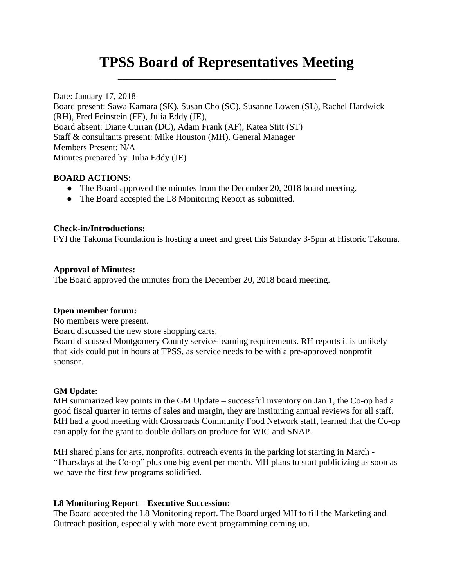# **TPSS Board of Representatives Meeting** \_\_\_\_\_\_\_\_\_\_\_\_\_\_\_\_\_\_\_\_\_\_\_\_\_\_\_\_\_\_\_\_\_\_\_\_\_\_\_\_\_\_\_\_\_\_\_\_\_

Date: January 17, 2018 Board present: Sawa Kamara (SK), Susan Cho (SC), Susanne Lowen (SL), Rachel Hardwick (RH), Fred Feinstein (FF), Julia Eddy (JE), Board absent: Diane Curran (DC), Adam Frank (AF), Katea Stitt (ST) Staff & consultants present: Mike Houston (MH), General Manager Members Present: N/A Minutes prepared by: Julia Eddy (JE)

## **BOARD ACTIONS:**

- The Board approved the minutes from the December 20, 2018 board meeting.
- The Board accepted the L8 Monitoring Report as submitted.

## **Check-in/Introductions:**

FYI the Takoma Foundation is hosting a meet and greet this Saturday 3-5pm at Historic Takoma.

## **Approval of Minutes:**

The Board approved the minutes from the December 20, 2018 board meeting.

## **Open member forum:**

No members were present.

Board discussed the new store shopping carts.

Board discussed Montgomery County service-learning requirements. RH reports it is unlikely that kids could put in hours at TPSS, as service needs to be with a pre-approved nonprofit sponsor.

## **GM Update:**

MH summarized key points in the GM Update – successful inventory on Jan 1, the Co-op had a good fiscal quarter in terms of sales and margin, they are instituting annual reviews for all staff. MH had a good meeting with Crossroads Community Food Network staff, learned that the Co-op can apply for the grant to double dollars on produce for WIC and SNAP.

MH shared plans for arts, nonprofits, outreach events in the parking lot starting in March - "Thursdays at the Co-op" plus one big event per month. MH plans to start publicizing as soon as we have the first few programs solidified.

## **L8 Monitoring Report – Executive Succession:**

The Board accepted the L8 Monitoring report. The Board urged MH to fill the Marketing and Outreach position, especially with more event programming coming up.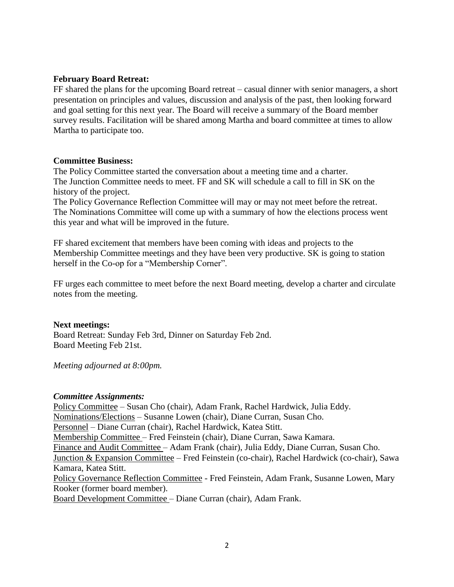## **February Board Retreat:**

FF shared the plans for the upcoming Board retreat – casual dinner with senior managers, a short presentation on principles and values, discussion and analysis of the past, then looking forward and goal setting for this next year. The Board will receive a summary of the Board member survey results. Facilitation will be shared among Martha and board committee at times to allow Martha to participate too.

#### **Committee Business:**

The Policy Committee started the conversation about a meeting time and a charter. The Junction Committee needs to meet. FF and SK will schedule a call to fill in SK on the history of the project.

The Policy Governance Reflection Committee will may or may not meet before the retreat. The Nominations Committee will come up with a summary of how the elections process went this year and what will be improved in the future.

FF shared excitement that members have been coming with ideas and projects to the Membership Committee meetings and they have been very productive. SK is going to station herself in the Co-op for a "Membership Corner".

FF urges each committee to meet before the next Board meeting, develop a charter and circulate notes from the meeting.

## **Next meetings:**

Board Retreat: Sunday Feb 3rd, Dinner on Saturday Feb 2nd. Board Meeting Feb 21st.

*Meeting adjourned at 8:00pm.*

#### *Committee Assignments:*

Policy Committee – Susan Cho (chair), Adam Frank, Rachel Hardwick, Julia Eddy. Nominations/Elections – Susanne Lowen (chair), Diane Curran, Susan Cho. Personnel – Diane Curran (chair), Rachel Hardwick, Katea Stitt. Membership Committee – Fred Feinstein (chair), Diane Curran, Sawa Kamara. Finance and Audit Committee – Adam Frank (chair), Julia Eddy, Diane Curran, Susan Cho. Junction & Expansion Committee – Fred Feinstein (co-chair), Rachel Hardwick (co-chair), Sawa Kamara, Katea Stitt. Policy Governance Reflection Committee - Fred Feinstein, Adam Frank, Susanne Lowen, Mary Rooker (former board member). Board Development Committee – Diane Curran (chair), Adam Frank.